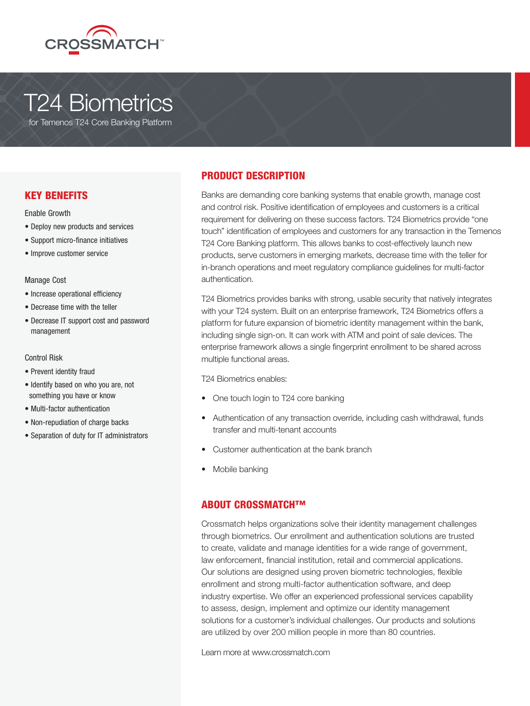

# T24 Biometrics

for Temenos T24 Core Banking Platform

# KEY BENEFITS

Enable Growth

- Deploy new products and services
- Support micro-finance initiatives
- Improve customer service

### Manage Cost

- Increase operational efficiency
- Decrease time with the teller
- Decrease IT support cost and password management

# Control Risk

- Prevent identity fraud
- Identify based on who you are, not something you have or know
- Multi-factor authentication
- Non-repudiation of charge backs
- Separation of duty for IT administrators

# PRODUCT DESCRIPTION

Banks are demanding core banking systems that enable growth, manage cost and control risk. Positive identification of employees and customers is a critical requirement for delivering on these success factors. T24 Biometrics provide "one touch" identification of employees and customers for any transaction in the Temenos T24 Core Banking platform. This allows banks to cost-effectively launch new products, serve customers in emerging markets, decrease time with the teller for in-branch operations and meet regulatory compliance guidelines for multi-factor authentication.

T24 Biometrics provides banks with strong, usable security that natively integrates with your T24 system. Built on an enterprise framework, T24 Biometrics offers a platform for future expansion of biometric identity management within the bank, including single sign-on. It can work with ATM and point of sale devices. The enterprise framework allows a single fingerprint enrollment to be shared across multiple functional areas.

T24 Biometrics enables:

- One touch login to T24 core banking
- Authentication of any transaction override, including cash withdrawal, funds transfer and multi-tenant accounts
- Customer authentication at the bank branch
- Mobile banking

# ABOUT CROSSMATCH™

Crossmatch helps organizations solve their identity management challenges through biometrics. Our enrollment and authentication solutions are trusted to create, validate and manage identities for a wide range of government, law enforcement, financial institution, retail and commercial applications. Our solutions are designed using proven biometric technologies, flexible enrollment and strong multi-factor authentication software, and deep industry expertise. We offer an experienced professional services capability to assess, design, implement and optimize our identity management solutions for a customer's individual challenges. Our products and solutions are utilized by over 200 million people in more than 80 countries.

Learn more at www.crossmatch.com